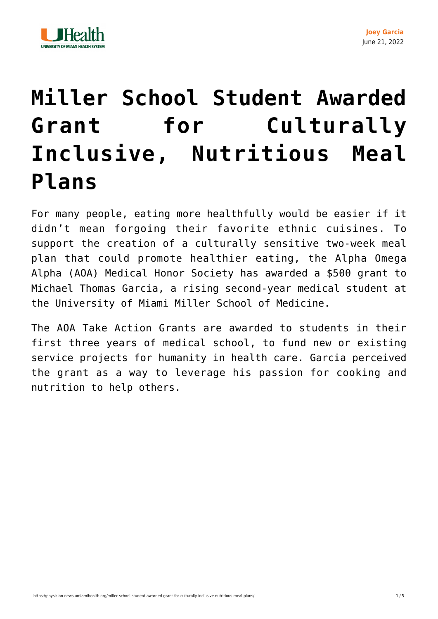

## **[Miller School Student Awarded](https://physician-news.umiamihealth.org/miller-school-student-awarded-grant-for-culturally-inclusive-nutritious-meal-plans/) [Grant for Culturally](https://physician-news.umiamihealth.org/miller-school-student-awarded-grant-for-culturally-inclusive-nutritious-meal-plans/) [Inclusive, Nutritious Meal](https://physician-news.umiamihealth.org/miller-school-student-awarded-grant-for-culturally-inclusive-nutritious-meal-plans/) [Plans](https://physician-news.umiamihealth.org/miller-school-student-awarded-grant-for-culturally-inclusive-nutritious-meal-plans/)**

For many people, eating more healthfully would be easier if it didn't mean forgoing their favorite ethnic cuisines. To support the creation of a culturally sensitive two-week meal plan that could promote healthier eating, the Alpha Omega Alpha (AOA) Medical Honor Society has awarded a \$500 grant to Michael Thomas Garcia, a rising second-year medical student at the University of Miami Miller School of Medicine.

The AOA Take Action Grants are awarded to students in their first three years of medical school, to fund new or existing service projects for humanity in health care. Garcia perceived the grant as a way to leverage his passion for cooking and nutrition to help others.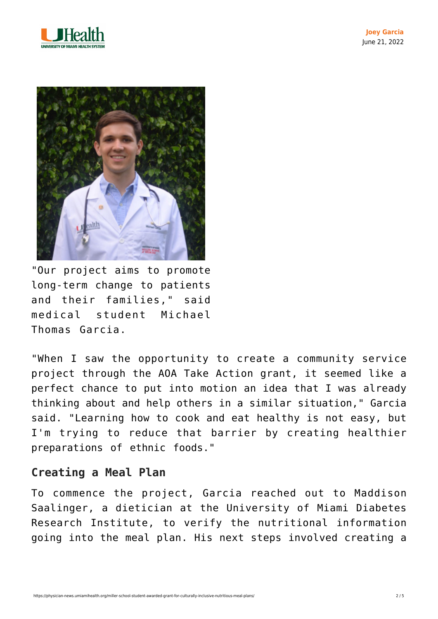



"Our project aims to promote long-term change to patients and their families," said medical student Michael Thomas Garcia.

"When I saw the opportunity to create a community service project through the AOA Take Action grant, it seemed like a perfect chance to put into motion an idea that I was already thinking about and help others in a similar situation," Garcia said. "Learning how to cook and eat healthy is not easy, but I'm trying to reduce that barrier by creating healthier preparations of ethnic foods."

## **Creating a Meal Plan**

To commence the project, Garcia reached out to Maddison Saalinger, a dietician at the University of Miami Diabetes Research Institute, to verify the nutritional information going into the meal plan. His next steps involved creating a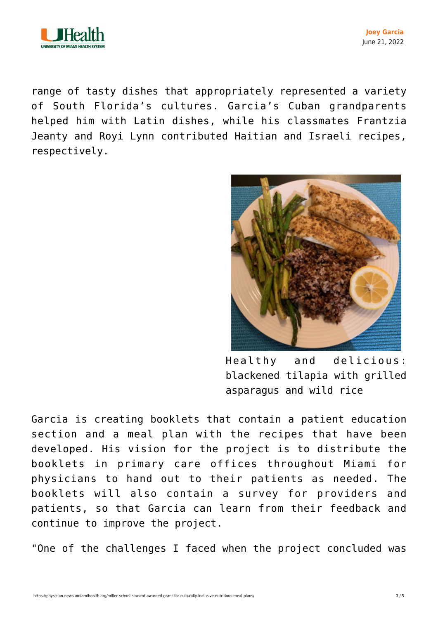

**Joey Garcia** June 21, 2022

range of tasty dishes that appropriately represented a variety of South Florida's cultures. Garcia's Cuban grandparents helped him with Latin dishes, while his classmates Frantzia Jeanty and Royi Lynn contributed Haitian and Israeli recipes, respectively.



Healthy and delicious: blackened tilapia with grilled asparagus and wild rice

Garcia is creating booklets that contain a patient education section and a meal plan with the recipes that have been developed. His vision for the project is to distribute the booklets in primary care offices throughout Miami for physicians to hand out to their patients as needed. The booklets will also contain a survey for providers and patients, so that Garcia can learn from their feedback and continue to improve the project.

"One of the challenges I faced when the project concluded was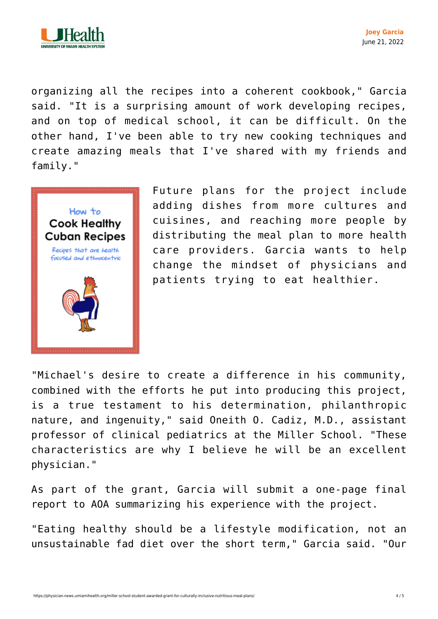

organizing all the recipes into a coherent cookbook," Garcia said. "It is a surprising amount of work developing recipes, and on top of medical school, it can be difficult. On the other hand, I've been able to try new cooking techniques and create amazing meals that I've shared with my friends and family."



Future plans for the project include adding dishes from more cultures and cuisines, and reaching more people by distributing the meal plan to more health care providers. Garcia wants to help change the mindset of physicians and patients trying to eat healthier.

"Michael's desire to create a difference in his community, combined with the efforts he put into producing this project, is a true testament to his determination, philanthropic nature, and ingenuity," said Oneith O. Cadiz, M.D., assistant professor of clinical pediatrics at the Miller School. "These characteristics are why I believe he will be an excellent physician."

As part of the grant, Garcia will submit a one-page final report to AOA summarizing his experience with the project.

"Eating healthy should be a lifestyle modification, not an unsustainable fad diet over the short term," Garcia said. "Our